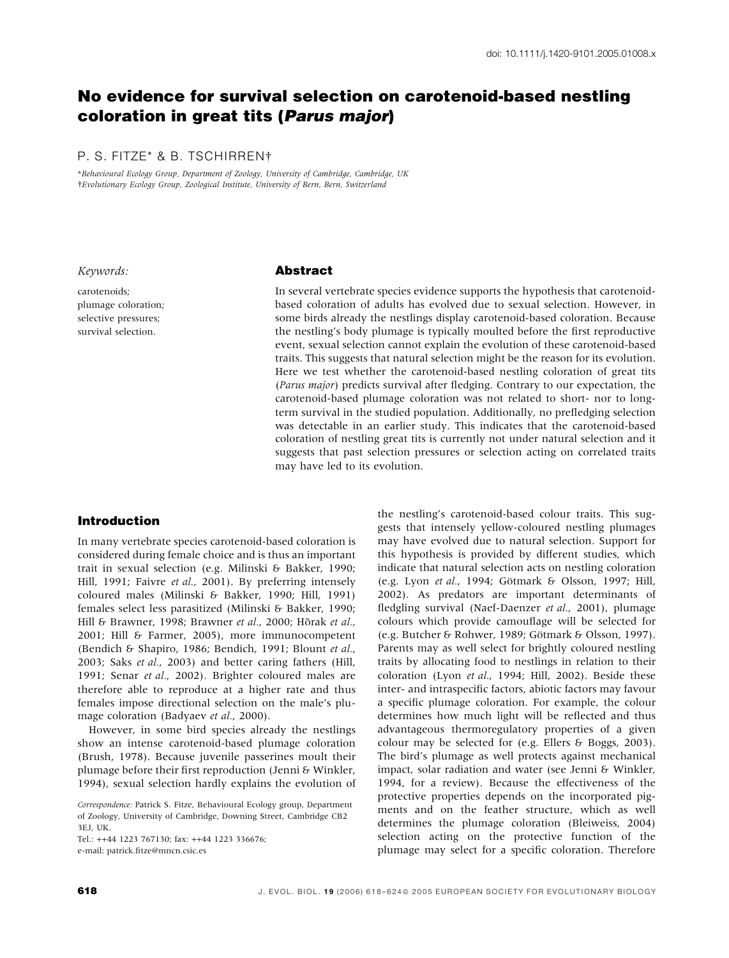# No evidence for survival selection on carotenoid-based nestling coloration in great tits (Parus major)

## P. S. FITZE\* & B. TSCHIRREN

\*Behavioural Ecology Group, Department of Zoology, University of Cambridge, Cambridge, UK Evolutionary Ecology Group, Zoological Institute, University of Bern, Bern, Switzerland

#### Keywords:

carotenoids; plumage coloration; selective pressures; survival selection.

#### **Abstract**

In several vertebrate species evidence supports the hypothesis that carotenoidbased coloration of adults has evolved due to sexual selection. However, in some birds already the nestlings display carotenoid-based coloration. Because the nestling's body plumage is typically moulted before the first reproductive event, sexual selection cannot explain the evolution of these carotenoid-based traits. This suggests that natural selection might be the reason for its evolution. Here we test whether the carotenoid-based nestling coloration of great tits (Parus major) predicts survival after fledging. Contrary to our expectation, the carotenoid-based plumage coloration was not related to short- nor to longterm survival in the studied population. Additionally, no prefledging selection was detectable in an earlier study. This indicates that the carotenoid-based coloration of nestling great tits is currently not under natural selection and it suggests that past selection pressures or selection acting on correlated traits may have led to its evolution.

## Introduction

In many vertebrate species carotenoid-based coloration is considered during female choice and is thus an important trait in sexual selection (e.g. Milinski & Bakker, 1990; Hill, 1991; Faivre et al., 2001). By preferring intensely coloured males (Milinski & Bakker, 1990; Hill, 1991) females select less parasitized (Milinski & Bakker, 1990; Hill & Brawner, 1998; Brawner et al., 2000; Hõrak et al., 2001; Hill & Farmer, 2005), more immunocompetent (Bendich & Shapiro, 1986; Bendich, 1991; Blount et al., 2003; Saks et al., 2003) and better caring fathers (Hill, 1991; Senar et al., 2002). Brighter coloured males are therefore able to reproduce at a higher rate and thus females impose directional selection on the male's plumage coloration (Badyaev et al., 2000).

However, in some bird species already the nestlings show an intense carotenoid-based plumage coloration (Brush, 1978). Because juvenile passerines moult their plumage before their first reproduction (Jenni & Winkler, 1994), sexual selection hardly explains the evolution of

Tel.: ++44 1223 767130; fax: ++44 1223 336676; e-mail: patrick.fitze@mncn.csic.es

the nestling's carotenoid-based colour traits. This suggests that intensely yellow-coloured nestling plumages may have evolved due to natural selection. Support for this hypothesis is provided by different studies, which indicate that natural selection acts on nestling coloration (e.g. Lyon et al., 1994; Götmark & Olsson, 1997; Hill, 2002). As predators are important determinants of fledgling survival (Naef-Daenzer et al., 2001), plumage colours which provide camouflage will be selected for (e.g. Butcher & Rohwer, 1989; Götmark & Olsson, 1997). Parents may as well select for brightly coloured nestling traits by allocating food to nestlings in relation to their coloration (Lyon et al., 1994; Hill, 2002). Beside these inter- and intraspecific factors, abiotic factors may favour a specific plumage coloration. For example, the colour determines how much light will be reflected and thus advantageous thermoregulatory properties of a given colour may be selected for (e.g. Ellers & Boggs, 2003). The bird's plumage as well protects against mechanical impact, solar radiation and water (see Jenni & Winkler, 1994, for a review). Because the effectiveness of the protective properties depends on the incorporated pigments and on the feather structure, which as well determines the plumage coloration (Bleiweiss, 2004) selection acting on the protective function of the plumage may select for a specific coloration. Therefore

Correspondence: Patrick S. Fitze, Behavioural Ecology group, Department of Zoology, University of Cambridge, Downing Street, Cambridge CB2 3EJ, UK.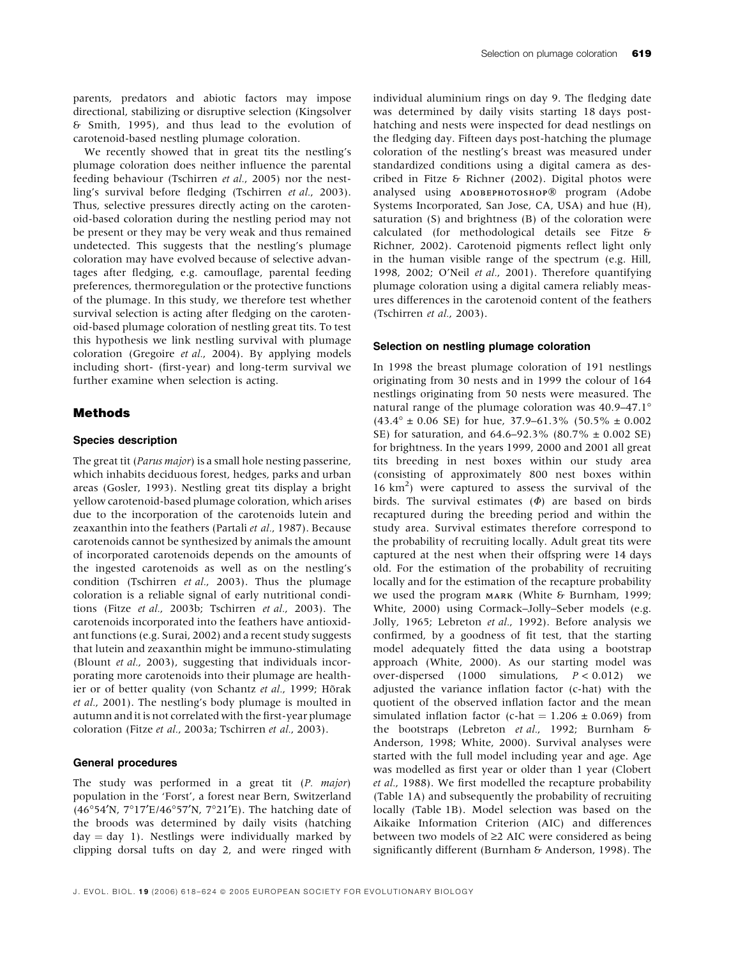parents, predators and abiotic factors may impose directional, stabilizing or disruptive selection (Kingsolver & Smith, 1995), and thus lead to the evolution of carotenoid-based nestling plumage coloration.

We recently showed that in great tits the nestling's plumage coloration does neither influence the parental feeding behaviour (Tschirren et al., 2005) nor the nestling's survival before fledging (Tschirren et al., 2003). Thus, selective pressures directly acting on the carotenoid-based coloration during the nestling period may not be present or they may be very weak and thus remained undetected. This suggests that the nestling's plumage coloration may have evolved because of selective advantages after fledging, e.g. camouflage, parental feeding preferences, thermoregulation or the protective functions of the plumage. In this study, we therefore test whether survival selection is acting after fledging on the carotenoid-based plumage coloration of nestling great tits. To test this hypothesis we link nestling survival with plumage coloration (Gregoire et al., 2004). By applying models including short- (first-year) and long-term survival we further examine when selection is acting.

#### Methods

#### Species description

The great tit (Parus major) is a small hole nesting passerine, which inhabits deciduous forest, hedges, parks and urban areas (Gosler, 1993). Nestling great tits display a bright yellow carotenoid-based plumage coloration, which arises due to the incorporation of the carotenoids lutein and zeaxanthin into the feathers (Partali et al., 1987). Because carotenoids cannot be synthesized by animals the amount of incorporated carotenoids depends on the amounts of the ingested carotenoids as well as on the nestling's condition (Tschirren et al., 2003). Thus the plumage coloration is a reliable signal of early nutritional conditions (Fitze et al., 2003b; Tschirren et al., 2003). The carotenoids incorporated into the feathers have antioxidant functions (e.g. Surai, 2002) and a recent study suggests that lutein and zeaxanthin might be immuno-stimulating (Blount et al., 2003), suggesting that individuals incorporating more carotenoids into their plumage are healthier or of better quality (von Schantz et al., 1999; Hõrak et al., 2001). The nestling's body plumage is moulted in autumn and it is not correlated with the first-year plumage coloration (Fitze et al., 2003a; Tschirren et al., 2003).

### General procedures

The study was performed in a great tit (P. major) population in the 'Forst', a forest near Bern, Switzerland (46°54'N, 7°17'E/46°57'N, 7°21'E). The hatching date of the broods was determined by daily visits (hatching  $day = day$  1). Nestlings were individually marked by clipping dorsal tufts on day 2, and were ringed with individual aluminium rings on day 9. The fledging date was determined by daily visits starting 18 days posthatching and nests were inspected for dead nestlings on the fledging day. Fifteen days post-hatching the plumage coloration of the nestling's breast was measured under standardized conditions using a digital camera as described in Fitze & Richner (2002). Digital photos were analysed using авовернотоѕнор® program (Adobe Systems Incorporated, San Jose, CA, USA) and hue (H), saturation (S) and brightness (B) of the coloration were calculated (for methodological details see Fitze & Richner, 2002). Carotenoid pigments reflect light only in the human visible range of the spectrum (e.g. Hill, 1998, 2002; O'Neil et al., 2001). Therefore quantifying plumage coloration using a digital camera reliably measures differences in the carotenoid content of the feathers (Tschirren et al., 2003).

#### Selection on nestling plumage coloration

In 1998 the breast plumage coloration of 191 nestlings originating from 30 nests and in 1999 the colour of 164 nestlings originating from 50 nests were measured. The natural range of the plumage coloration was 40.9–47.1  $(43.4^{\circ} \pm 0.06 \text{ SE})$  for hue, 37.9–61.3% (50.5%  $\pm$  0.002 SE) for saturation, and 64.6–92.3% (80.7% ± 0.002 SE) for brightness. In the years 1999, 2000 and 2001 all great tits breeding in nest boxes within our study area (consisting of approximately 800 nest boxes within 16 km2 ) were captured to assess the survival of the birds. The survival estimates  $(\Phi)$  are based on birds recaptured during the breeding period and within the study area. Survival estimates therefore correspond to the probability of recruiting locally. Adult great tits were captured at the nest when their offspring were 14 days old. For the estimation of the probability of recruiting locally and for the estimation of the recapture probability we used the program  $MARK$  (White & Burnham, 1999; White, 2000) using Cormack–Jolly–Seber models (e.g. Jolly, 1965; Lebreton et al., 1992). Before analysis we confirmed, by a goodness of fit test, that the starting model adequately fitted the data using a bootstrap approach (White, 2000). As our starting model was over-dispersed  $(1000 \tsim 1000)$  simulations,  $P < 0.012$ ) we adjusted the variance inflation factor (c-hat) with the quotient of the observed inflation factor and the mean simulated inflation factor (c-hat =  $1.206 \pm 0.069$ ) from the bootstraps (Lebreton et al., 1992; Burnham & Anderson, 1998; White, 2000). Survival analyses were started with the full model including year and age. Age was modelled as first year or older than 1 year (Clobert et al., 1988). We first modelled the recapture probability (Table 1A) and subsequently the probability of recruiting locally (Table 1B). Model selection was based on the Aikaike Information Criterion (AIC) and differences between two models of  $\geq$ 2 AIC were considered as being significantly different (Burnham & Anderson, 1998). The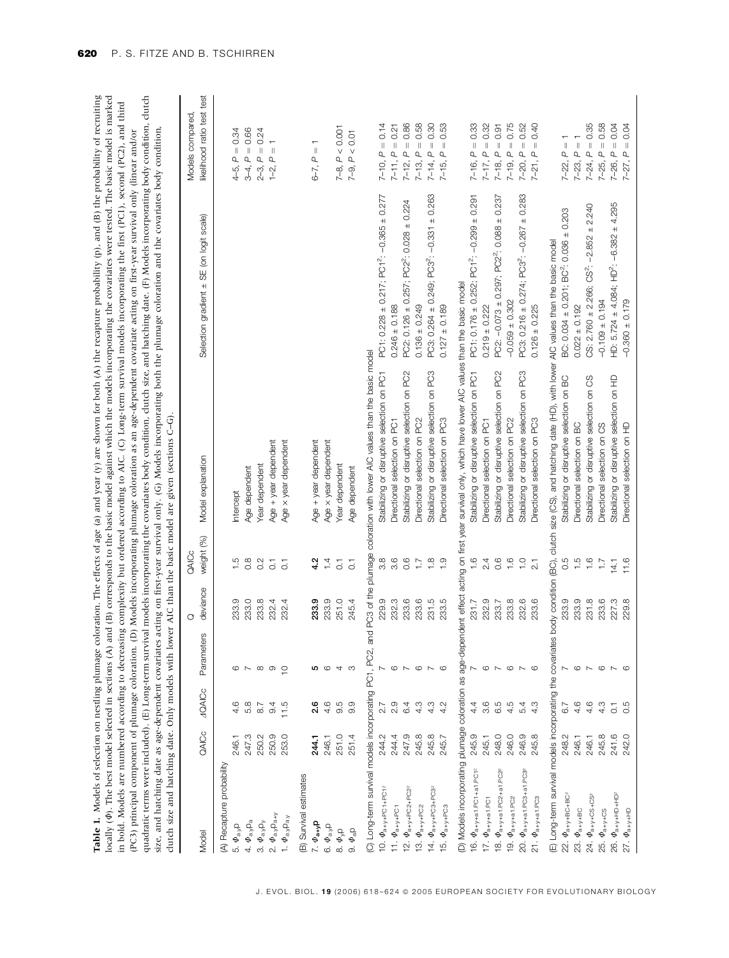| locally $(\Phi)$ . The best model selected in sections $(A)$<br>(PC3) principal component of plumage coloration. |       |                       |                  |                |                         | dutch size and hatching date. Only models with lower AIC than the basic model are given (sections C-G).                                                              | Table 1. Models of selection on nestling plumage coloration. The effects of age (a) and year (y) are shown for both (A) the recapture probability (p), and (B) the probability of recruiting<br>and (B) corresponds to the basic model against which the models incorporating the covariates were tested. The basic model is marked<br>quadratic terms were included). (E) Long-term survival models incorporating the covariates body condition, clutch size, and hatching date. (F) Models incorporating body condition, clutch<br>in bold. Models are numbered according to decreasing complexity but ordered according to AIC. (C) Long-term survival models incorporating the first (PC1), second (PC2), and third<br>size, and hatching date as age-dependent covariates acting on first-year survival only. (G) Models incorporating both the plumage coloration and the covariates body condition<br>(D) Models incorporating plumage coloration as an age-dependent covariate acting on first-year survival only (linear and/or |                                                                                    |
|------------------------------------------------------------------------------------------------------------------|-------|-----------------------|------------------|----------------|-------------------------|----------------------------------------------------------------------------------------------------------------------------------------------------------------------|------------------------------------------------------------------------------------------------------------------------------------------------------------------------------------------------------------------------------------------------------------------------------------------------------------------------------------------------------------------------------------------------------------------------------------------------------------------------------------------------------------------------------------------------------------------------------------------------------------------------------------------------------------------------------------------------------------------------------------------------------------------------------------------------------------------------------------------------------------------------------------------------------------------------------------------------------------------------------------------------------------------------------------------|------------------------------------------------------------------------------------|
|                                                                                                                  |       |                       |                  | O              | 3<br>AlCc               |                                                                                                                                                                      |                                                                                                                                                                                                                                                                                                                                                                                                                                                                                                                                                                                                                                                                                                                                                                                                                                                                                                                                                                                                                                          | Models compared                                                                    |
| Model                                                                                                            | QAICc | <b>AQAICc</b>         | Parameters       | deviance       | weight (%)              | Model explanation                                                                                                                                                    | Selection gradient ± SE (on logit scale)                                                                                                                                                                                                                                                                                                                                                                                                                                                                                                                                                                                                                                                                                                                                                                                                                                                                                                                                                                                                 | ikelihood ratio test test                                                          |
| (A) Recapture probability                                                                                        |       |                       |                  |                |                         |                                                                                                                                                                      |                                                                                                                                                                                                                                                                                                                                                                                                                                                                                                                                                                                                                                                                                                                                                                                                                                                                                                                                                                                                                                          |                                                                                    |
| 5. $\Phi_{a,y}$ p                                                                                                | 246.1 | 4.6                   | ဖ                | 233.9          | $\frac{5}{1}$           | ntercept                                                                                                                                                             |                                                                                                                                                                                                                                                                                                                                                                                                                                                                                                                                                                                                                                                                                                                                                                                                                                                                                                                                                                                                                                          | 0.34<br>$\parallel$<br>$\Delta$<br>4–5,                                            |
| 4. $\Phi_{\rm a, p}$ <sub>a</sub>                                                                                | 247.3 | 5.8                   |                  | 233.0          | $0.\overline{8}$        | Age dependent                                                                                                                                                        |                                                                                                                                                                                                                                                                                                                                                                                                                                                                                                                                                                                                                                                                                                                                                                                                                                                                                                                                                                                                                                          | 0.66<br>$\parallel$<br>$\mathsf \alpha$<br>3-4;                                    |
| 3. $\Phi_{\rm a y}$ $p_y$                                                                                        | 250.2 | $\overline{8}$ .7     | $\infty$         | 233.8          | 0.2                     | Year dependent                                                                                                                                                       |                                                                                                                                                                                                                                                                                                                                                                                                                                                                                                                                                                                                                                                                                                                                                                                                                                                                                                                                                                                                                                          | $= 0.24$<br>$\mathbf{q}$<br>2-3,                                                   |
| 2. $\Phi_{a}$ <sub>y</sub> $P_{a+y}$                                                                             | 250.9 | 9.4                   | $\circ$          | 232.4          | $\overline{\circ}$      | Age + year dependent                                                                                                                                                 |                                                                                                                                                                                                                                                                                                                                                                                                                                                                                                                                                                                                                                                                                                                                                                                                                                                                                                                                                                                                                                          | $\frac{1}{\sqrt{2}}$<br>$\overline{\mathbf{q}}$<br>$\overline{1}$ - $\overline{2}$ |
| 1. $\Phi_{a}$ , $p_{a}$                                                                                          | 253.0 | 11.5                  | $\circ$          | 232.4          | $\overline{C}$          | Age x year dependent                                                                                                                                                 |                                                                                                                                                                                                                                                                                                                                                                                                                                                                                                                                                                                                                                                                                                                                                                                                                                                                                                                                                                                                                                          |                                                                                    |
| B) Survival estimates                                                                                            |       |                       |                  |                |                         |                                                                                                                                                                      |                                                                                                                                                                                                                                                                                                                                                                                                                                                                                                                                                                                                                                                                                                                                                                                                                                                                                                                                                                                                                                          |                                                                                    |
| 7. $\Phi_{\mathbf{a}+\mathbf{y}}$ p                                                                              | 244.1 | 2.6                   | <b>ပ</b> ေ       | 233.9          | 4.2                     | Age + year dependent                                                                                                                                                 |                                                                                                                                                                                                                                                                                                                                                                                                                                                                                                                                                                                                                                                                                                                                                                                                                                                                                                                                                                                                                                          | $\overline{ }$<br>$\parallel$<br>$\alpha$<br>$6 - 7$ .                             |
| 6. $\Phi_{\rm a,y}$ p                                                                                            | 246.1 | 4.6                   |                  | 233.9          | $\overline{4}$          | Age x year dependent                                                                                                                                                 |                                                                                                                                                                                                                                                                                                                                                                                                                                                                                                                                                                                                                                                                                                                                                                                                                                                                                                                                                                                                                                          |                                                                                    |
| 8. $\varPhi_{\rm yD}$                                                                                            | 251.0 | 9.5                   | 4 ෆ              | 251.0          | $\overline{\textbf{C}}$ | Year dependent                                                                                                                                                       |                                                                                                                                                                                                                                                                                                                                                                                                                                                                                                                                                                                                                                                                                                                                                                                                                                                                                                                                                                                                                                          | P < 0.001<br>7-8,                                                                  |
| 9. $\Phi_{\text{aD}}$                                                                                            | 251.4 | 9.9                   |                  | 245.4          | $\overline{c}$          | Age dependent                                                                                                                                                        |                                                                                                                                                                                                                                                                                                                                                                                                                                                                                                                                                                                                                                                                                                                                                                                                                                                                                                                                                                                                                                          | $P < 0.01$<br>$7 - 9,$                                                             |
| (C) Long-term survival models incorporating PC1,                                                                 |       |                       | $\omega$<br>PC2, | ind PC3 of the |                         | plumage coloration with lower AIC values than the basic model                                                                                                        |                                                                                                                                                                                                                                                                                                                                                                                                                                                                                                                                                                                                                                                                                                                                                                                                                                                                                                                                                                                                                                          |                                                                                    |
| 10. $\Phi$ <sub>a+y+PC1+PC12</sub>                                                                               | 244.2 | 2.7                   |                  | 229.9          | 3.8                     | Stabilizing or disruptive selection on PC1                                                                                                                           | PC1: 0.228 ± 0.217; PC1 <sup>2</sup> : -0.365 ± 0.277                                                                                                                                                                                                                                                                                                                                                                                                                                                                                                                                                                                                                                                                                                                                                                                                                                                                                                                                                                                    | 0.14<br>$7-10, P =$                                                                |
| 11. $\Phi$ <sub>a+y+PC1</sub>                                                                                    | 244.4 | 2.9                   | $\circ$          | 232.3          | $3.\overline{6}$        | Directional selection on PC1                                                                                                                                         | $0.246 \pm 0.188$                                                                                                                                                                                                                                                                                                                                                                                                                                                                                                                                                                                                                                                                                                                                                                                                                                                                                                                                                                                                                        | $7-11, P = 0.21$                                                                   |
| 12. $\Phi$ <sub>a+y+PC2+PC2</sub> <sup>2</sup>                                                                   | 247.9 | 6.4                   |                  | 233.6          | 0.6                     | Stabilizing or disruptive selection on PC2                                                                                                                           | 0.224<br>PC2: 0.126 ± 0.257; PC2 <sup>2</sup> : 0.028 ±                                                                                                                                                                                                                                                                                                                                                                                                                                                                                                                                                                                                                                                                                                                                                                                                                                                                                                                                                                                  | 0.86<br>$7-12, P =$                                                                |
| 13. $\Phi$ <sub>a+y+PC2</sub>                                                                                    | 245.8 | 4.3                   | $\circ$          | 233.6          | $\overline{1}$ .        | Directional selection on PC2                                                                                                                                         | $0.136 \pm 0.249$                                                                                                                                                                                                                                                                                                                                                                                                                                                                                                                                                                                                                                                                                                                                                                                                                                                                                                                                                                                                                        | 0.58<br>$\parallel$<br>$7 - 13, P$                                                 |
| 14. $\Phi$ <sub>a+y+PC3+PC3</sub> <sup>2</sup>                                                                   | 245.8 | 4.3                   | $\sim$           | 231.5          | $\frac{8}{1}$           | Stabilizing or disruptive selection on PC3                                                                                                                           | PC3: 0.264 ± 0.249; PC3 <sup>2</sup> : -0.331 ± 0.263                                                                                                                                                                                                                                                                                                                                                                                                                                                                                                                                                                                                                                                                                                                                                                                                                                                                                                                                                                                    | 0.30<br>$\left\vert {}\right\vert$<br>$7-14, P$                                    |
| $\Phi_{a+\gamma+\text{PC3}}$<br>$\frac{15}{10}$                                                                  | 245.7 | 4.2                   | $\circ$          | 233.5          | $\frac{0}{1}$           | Directional selection on PC3                                                                                                                                         | $0.127 \pm 0.189$                                                                                                                                                                                                                                                                                                                                                                                                                                                                                                                                                                                                                                                                                                                                                                                                                                                                                                                                                                                                                        | 0.53<br>$\mathbb{I}$<br>$\Delta$<br>$7 - 15$                                       |
|                                                                                                                  |       |                       |                  |                |                         | (D) Models incorporating plumage coloration as age-dependent effect acting on first year survival only, which have lower AIC values than the basic model             |                                                                                                                                                                                                                                                                                                                                                                                                                                                                                                                                                                                                                                                                                                                                                                                                                                                                                                                                                                                                                                          |                                                                                    |
| $\Phi_{a+y+a1.PC1+a1.PC1^2}$<br>Έ.                                                                               | 245.9 | 4.4                   |                  | 231.7          | $\frac{6}{1}$           | Stabilizing or disruptive selection on PC1                                                                                                                           | PC1: $0.176 \pm 0.252$ ; PC1 <sup>2</sup> : $-0.299 \pm 0.291$                                                                                                                                                                                                                                                                                                                                                                                                                                                                                                                                                                                                                                                                                                                                                                                                                                                                                                                                                                           | 0.33<br>$\left\vert {}\right\vert$<br>$\overline{a}$<br>$7 - 16,$                  |
| 17. $\Phi$ <sub>a+y+a1.PC1</sub>                                                                                 | 245.1 | 3.6                   | $\circ$          | 232.9          | 2.4                     | Directional selection on PC1                                                                                                                                         | $0.219 + 0.222$                                                                                                                                                                                                                                                                                                                                                                                                                                                                                                                                                                                                                                                                                                                                                                                                                                                                                                                                                                                                                          | 0.32<br>$\parallel$<br>$7-17, P$                                                   |
| 18. $\Phi$ <sub>a+y+a1.PC2+a1.PC2</sub>                                                                          | 248.0 | 6.5                   |                  | 233.7          | 0.6                     | Stabilizing or disruptive selection on PC2                                                                                                                           | $PC2: -0.073 \pm 0.297$ ; $PC2^2: 0.088 \pm 0.237$                                                                                                                                                                                                                                                                                                                                                                                                                                                                                                                                                                                                                                                                                                                                                                                                                                                                                                                                                                                       | $7-18, P = 0.91$                                                                   |
| $\Phi$ <sub>a+y+a1.PC2</sub><br>é,                                                                               | 246.0 | 4.5                   | $\circ$          | 233.8          | $\frac{6}{1}$           | Directional selection on PC2                                                                                                                                         | $-0.059 + 0.302$                                                                                                                                                                                                                                                                                                                                                                                                                                                                                                                                                                                                                                                                                                                                                                                                                                                                                                                                                                                                                         | 0.75<br>$\parallel$<br>Q<br>7-19,                                                  |
| 20. $\Phi$ <sub>a+y+a1.PC3+a1.PC32</sub>                                                                         | 246.9 | 5.4                   | $\sim$           | 232.6          | $\frac{1}{1}$           | Stabilizing or disruptive selection on PC3                                                                                                                           | PC3: 0.216 ± 0.274; PC3 <sup>2</sup> : -0.267 ± 0.283                                                                                                                                                                                                                                                                                                                                                                                                                                                                                                                                                                                                                                                                                                                                                                                                                                                                                                                                                                                    | 0.52<br>$\, \parallel$<br>$7 - 20, P$                                              |
| 21. $\Phi$ <sub>a+y+a1.PC3</sub>                                                                                 | 245.8 | 4.3                   | $\circ$          | 233.6          | $\overline{21}$         | Directional selection on PC3                                                                                                                                         | $0.126 \pm 0.225$                                                                                                                                                                                                                                                                                                                                                                                                                                                                                                                                                                                                                                                                                                                                                                                                                                                                                                                                                                                                                        | 0.40<br>$\parallel$<br>$7-21, P$                                                   |
|                                                                                                                  |       |                       |                  |                |                         | (E) Long-term survival models incorporating the covariates body condition (BC), clutch size (CS), and hatching date (HD), with lower AIC values than the basic model |                                                                                                                                                                                                                                                                                                                                                                                                                                                                                                                                                                                                                                                                                                                                                                                                                                                                                                                                                                                                                                          |                                                                                    |
| 22. $\Phi$ <sub>a+y+BC+BC</sub> <sub>2</sub>                                                                     | 248.2 | 6.7                   |                  | 233.9          | 0.5                     | Stabilizing or disruptive selection on BC                                                                                                                            | BC: 0.034 ± 0.201; BC <sup>2</sup> : 0.036 ± 0.203                                                                                                                                                                                                                                                                                                                                                                                                                                                                                                                                                                                                                                                                                                                                                                                                                                                                                                                                                                                       | $\, \parallel$<br>ቢ<br>7-22,                                                       |
| 23. $\Phi$ <sub>a+y+BC</sub>                                                                                     | 246.1 | 4.6                   | $\circ$          | 233.9          | $\frac{5}{1}$           | 8<br>Directional selection on                                                                                                                                        | $0.022 \pm 0.192$                                                                                                                                                                                                                                                                                                                                                                                                                                                                                                                                                                                                                                                                                                                                                                                                                                                                                                                                                                                                                        | $7-23, P = 1$                                                                      |
| 24. $\Phi$ <sub>a+y+CS+CS</sub>                                                                                  | 246.1 | 4.6                   |                  | 231.8          | $\frac{6}{1}$           | Stabilizing or disruptive selection on CS                                                                                                                            | CS: 2.760 $\pm$ 2.266; CS <sup>2</sup> : -2.852 $\pm$ 2.240                                                                                                                                                                                                                                                                                                                                                                                                                                                                                                                                                                                                                                                                                                                                                                                                                                                                                                                                                                              | $7-24, P = 0.35$                                                                   |
| 25. $\Phi$ <sub>a+y+CS</sub>                                                                                     | 245.8 | $\frac{3}{4}$         | $\circ$          | 233.6          | $\overline{1}$ .        | Directional selection on CS                                                                                                                                          | $-0.109 + 0.194$                                                                                                                                                                                                                                                                                                                                                                                                                                                                                                                                                                                                                                                                                                                                                                                                                                                                                                                                                                                                                         | $7-25, P = 0.58$                                                                   |
| $\varPhi_{a+\gamma+\text{HD}+\text{HD}^2}$<br>26.                                                                | 241.6 | $\overline{\text{C}}$ | $\sim$ $\circ$   | 227.3          | 14.1                    | Stabilizing or disruptive selection on HD                                                                                                                            | HD: 5.724 ± 4.084; HD <sup>2</sup> : -6.382 ± 4.295                                                                                                                                                                                                                                                                                                                                                                                                                                                                                                                                                                                                                                                                                                                                                                                                                                                                                                                                                                                      | 0.04<br>$\parallel$<br>$\alpha$<br>7-26,                                           |
| $\varPhi_{\text{a+y+HD}}$<br>27.                                                                                 | 242.0 | 0.5                   |                  | 229.8          | 11.6                    | Directional selection on HD                                                                                                                                          | $-0.360 + 0.179$                                                                                                                                                                                                                                                                                                                                                                                                                                                                                                                                                                                                                                                                                                                                                                                                                                                                                                                                                                                                                         | 0.04<br>$\parallel$<br>$7 - 27, P$                                                 |
|                                                                                                                  |       |                       |                  |                |                         |                                                                                                                                                                      |                                                                                                                                                                                                                                                                                                                                                                                                                                                                                                                                                                                                                                                                                                                                                                                                                                                                                                                                                                                                                                          |                                                                                    |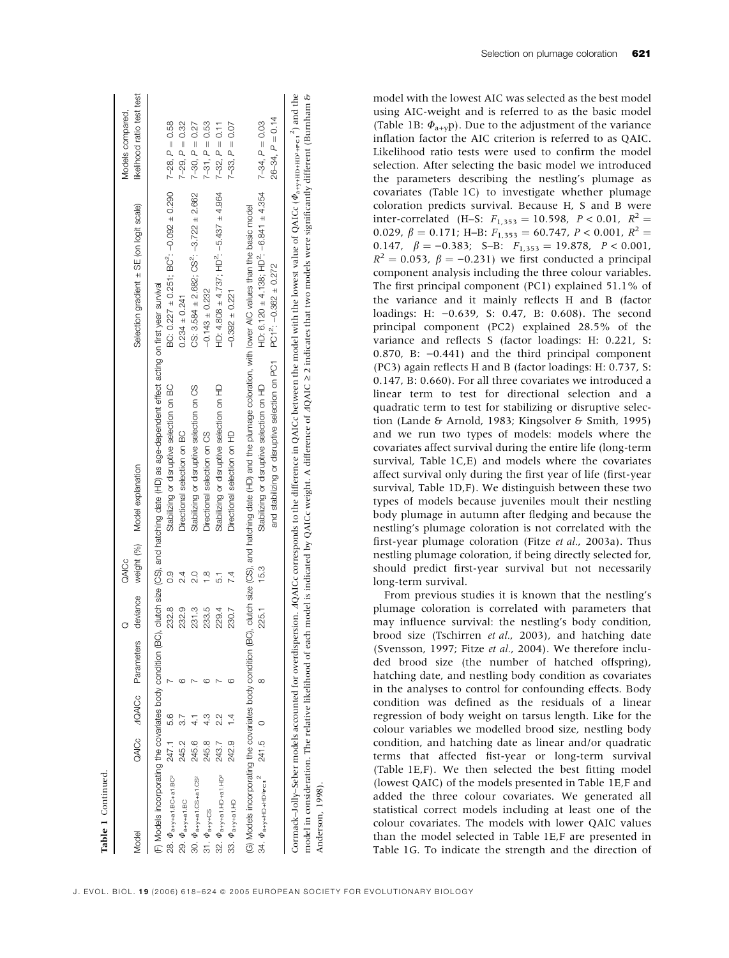| Model                                                    |       |                | QAICc 4QAICc Parameters | deviance | QAICc         | weight (%) Model explanation                                                                                                                                                                                     | Selection gradient ± SE (on logit scale)                                      | likelihood ratio test test<br>Models compared, |
|----------------------------------------------------------|-------|----------------|-------------------------|----------|---------------|------------------------------------------------------------------------------------------------------------------------------------------------------------------------------------------------------------------|-------------------------------------------------------------------------------|------------------------------------------------|
|                                                          |       |                |                         |          |               |                                                                                                                                                                                                                  |                                                                               |                                                |
|                                                          |       |                |                         |          |               | (F) Models incorporating the covariates body condition (BC), clutch size (CS), and hatching date (HD) as age-dependent effect acting on first year survival                                                      |                                                                               |                                                |
| 28. $\Phi$ <sub>a+y+a1.BC+a1.BC</sub> <sup>2</sup>       | 247.1 | 5.6            |                         | 232.8    | 03            | Stabilizing or disruptive selection on BC                                                                                                                                                                        | BC: $0.227 \pm 0.251$ ; BC <sup>2</sup> : $-0.092 \pm 0.290$ 7-28, $P = 0.58$ |                                                |
| 29. $\varPhi_{\text{a+y-at B}}$                          | 245.2 |                |                         | 232.9    | 24            | Directional selection on BC                                                                                                                                                                                      | $0.234 \pm 0.241$                                                             | $7-29, P = 0.32$                               |
| 30. $\Phi$ <sub>a+y+a1</sub> .CS+a1.CS <sup>2</sup>      | 245.6 |                |                         | 231.3    | o.<br>N       | Stabilizing or disruptive selection on CS                                                                                                                                                                        | CS: $3.584 \pm 2.682$ ; CS <sup>2</sup> : $-3.722 \pm 2.662$                  | $7-30, P = 0.27$                               |
| 31. $\Phi$ <sub>a+y+CS</sub>                             | 245.8 |                |                         | 233.5    | $\frac{8}{1}$ | Directional selection on CS                                                                                                                                                                                      | $-0.143 \pm 0.232$                                                            | $7-31, P = 0.53$                               |
| 32. $\Phi$ <sub>a+y+a1</sub> . HD+a1. HD <sup>2</sup>    | 243.7 |                |                         | 229.4    | 51            | Stabilizing or disruptive selection on HD                                                                                                                                                                        | HD: 4.808 $\pm$ 4.737; HD <sup>2</sup> : -5.437 $\pm$ 4.964                   | $7-32, P = 0.11$                               |
| 33. $\Phi$ <sub>a+y+a1</sub> .HD                         | 242.9 | $\overline{1}$ |                         | 230.7    | 7.4           | Directional selection on HD                                                                                                                                                                                      | $-0.392 + 0.221$                                                              | $7-33, P = 0.07$                               |
| (G) Models incorporating the covariates body condition ( |       |                |                         |          |               | BC), dutch size (CS), and hatching date (HD) and the plumage coloration, with lower AIC values than the basic model                                                                                              |                                                                               |                                                |
| $34.$ $\Phi_{a+\gamma+HD+HD^2PC1}^2$ 241.5 0             |       |                | $\infty$                | 225.1    | 15.3          | Stabilizing or disruptive selection on HD                                                                                                                                                                        | HD: $6.120 \pm 4.138$ ; HD <sup>2</sup> : -6.841 $\pm 4.354$                  | $7 - 34, P = 0.03$                             |
|                                                          |       |                |                         |          |               | and stabilizing or disruptive selection on PC1 PC1 <sup>2</sup> : -0.362 ± 0.272                                                                                                                                 |                                                                               | $26 - 34, P = 0.14$                            |
|                                                          |       |                |                         |          |               | Cormack-Jolly-Seber models accounted for overdispersion. AQAICc corresponds to the difference in QAICc between the model with the lowest value of QAICc ( $\varPhi_{\rm at\gamma+HD+epc}$ , $^{\circ}$ ) and the |                                                                               |                                                |

model in consideration. The relative likelihood of each model is indicated by QAICc weight. A difference of AQAIC ≥ 2 indicates that two models were significantly different (Burnham & model in consideration. The relative likelihood of each model is indicated by QAICc weight. A difference of  $AQAIC \ge 2$  indicates that two models were significantly different (Burnham &  $\varPhi_{\mathrm{a+y+HD+HD^{2}+PC1}}$ Anderson, 1998). Anderson, 1998).

model with the lowest AIC was selected as the best model using AIC-weight and is referred to as the basic model (Table 1B:  $\Phi_{a+v}$ p). Due to the adjustment of the variance inflation factor the AIC criterion is referred to as QAIC. Likelihood ratio tests were used to confirm the model selection. After selecting the basic model we introduced the parameters describing the nestling's plumage as covariates (Table 1C) to investigate whether plumage coloration predicts survival. Because H, S and B were inter-correlated (H–S:  $F_{1,353} = 10.598$ ,  $P < 0.01$ ,  $R^2 =$ 0.029,  $\beta = 0.171$ ; H–B:  $F_{1,353} = 60.747$ ,  $P < 0.001$ ,  $R^2 =$ 0.147,  $\beta = -0.383$ ; S-B:  $F_{1,353} = 19.878$ ,  $P < 0.001$ ,  $R^2 = 0.053$ ,  $\beta = -0.231$ ) we first conducted a principal component analysis including the three colour variables. The first principal component (PC1) explained 51.1% of the variance and it mainly reflects H and B (factor loadings: H:  $-0.639$ , S: 0.47, B: 0.608). The second principal component (PC2) explained 28.5% of the variance and reflects S (factor loadings: H: 0.221, S: 0.870, B:  $-0.441$ ) and the third principal component (PC3) again reflects H and B (factor loadings: H: 0.737, S: 0.147, B: 0.660). For all three covariates we introduced a linear term to test for directional selection and a quadratic term to test for stabilizing or disruptive selection (Lande & Arnold, 1983; Kingsolver & Smith, 1995) and we run two types of models: models where the covariates affect survival during the entire life (long-term survival, Table 1C,E) and models where the covariates affect survival only during the first year of life (first-year survival, Table 1D,F). We distinguish between these two types of models because juveniles moult their nestling body plumage in autumn after fledging and because the nestling's plumage coloration is not correlated with the first-year plumage coloration (Fitze et al., 2003a). Thus nestling plumage coloration, if being directly selected for, should predict first-year survival but not necessarily long-term survival.

From previous studies it is known that the nestling's plumage coloration is correlated with parameters that may influence survival: the nestling's body condition, brood size (Tschirren et al., 2003), and hatching date (Svensson, 1997; Fitze et al., 2004). We therefore included brood size (the number of hatched offspring), hatching date, and nestling body condition as covariates in the analyses to control for confounding effects. Body condition was defined as the residuals of a linear regression of body weight on tarsus length. Like for the colour variables we modelled brood size, nestling body condition, and hatching date as linear and/or quadratic terms that affected fist-year or long-term survival (Table 1E,F). We then selected the best fitting model (lowest QAIC) of the models presented in Table 1E,F and added the three colour covariates. We generated all statistical correct models including at least one of the colour covariates. The models with lower QAIC values than the model selected in Table 1E,F are presented in Table 1G. To indicate the strength and the direction of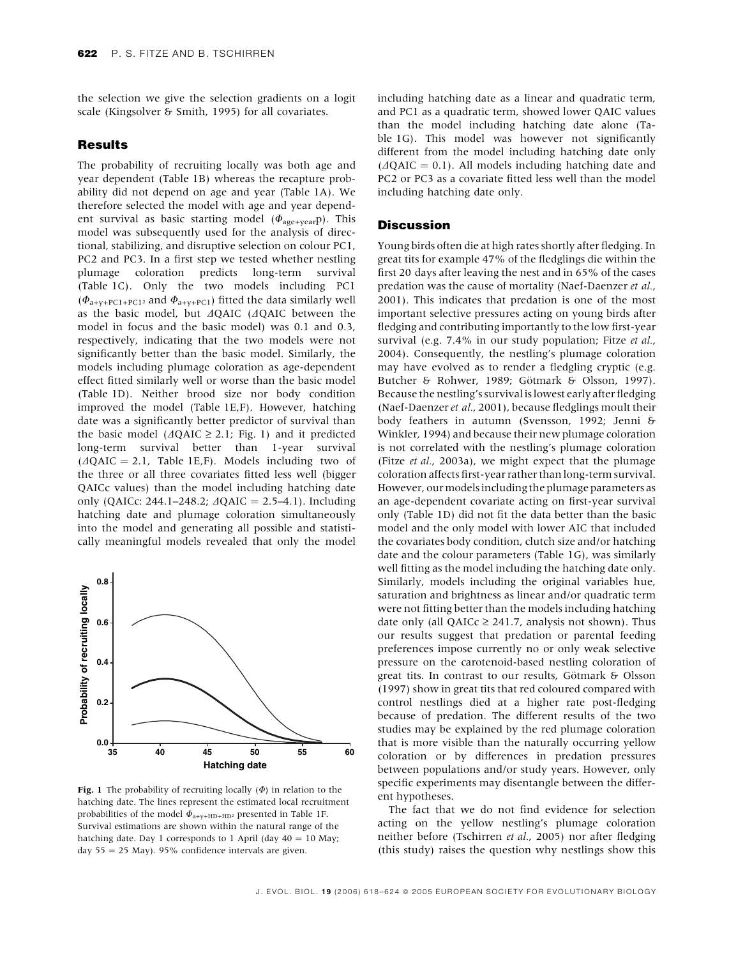the selection we give the selection gradients on a logit scale (Kingsolver & Smith, 1995) for all covariates.

#### Results

The probability of recruiting locally was both age and year dependent (Table 1B) whereas the recapture probability did not depend on age and year (Table 1A). We therefore selected the model with age and year dependent survival as basic starting model ( $\Phi_{age+year}$ p). This model was subsequently used for the analysis of directional, stabilizing, and disruptive selection on colour PC1, PC2 and PC3. In a first step we tested whether nestling plumage coloration predicts long-term survival (Table 1C). Only the two models including PC1  $(\Phi_{a+v+PC1+PC1^2}$  and  $\Phi_{a+v+PC1}$ ) fitted the data similarly well as the basic model, but  $\triangle AQAIC$  ( $\triangle AQAIC$  between the model in focus and the basic model) was 0.1 and 0.3, respectively, indicating that the two models were not significantly better than the basic model. Similarly, the models including plumage coloration as age-dependent effect fitted similarly well or worse than the basic model (Table 1D). Neither brood size nor body condition improved the model (Table 1E,F). However, hatching date was a significantly better predictor of survival than the basic model ( $\triangle$  QAIC  $\geq$  2.1; Fig. 1) and it predictedlong-term survival better than 1-year survival  $(AQAIC = 2.1, Table 1E, F)$ . Models including two of the three or all three covariates fitted less well (bigger QAICc values) than the model including hatching date only (QAICc: 244.1–248.2;  $\triangle QAIC = 2.5-4.1$ ). Including hatching date and plumage coloration simultaneously into the model and generating all possible and statistically meaningful models revealed that only the model



Fig. 1 The probability of recruiting locally  $(\Phi)$  in relation to the hatching date. The lines represent the estimated local recruitment probabilities of the model  $\Phi_{a+v+H\text{D}+H\text{D}2}$  presented in Table 1F. Survival estimations are shown within the natural range of the hatching date. Day 1 corresponds to 1 April (day  $40 = 10$  May; day  $55 = 25$  May). 95% confidence intervals are given.

including hatching date as a linear and quadratic term, and PC1 as a quadratic term, showed lower QAIC values than the model including hatching date alone (Table 1G). This model was however not significantly different from the model including hatching date only  $(AQAIC = 0.1)$ . All models including hatching date and PC2 or PC3 as a covariate fitted less well than the model including hatching date only.

## **Discussion**

Young birds often die at high rates shortly after fledging. In great tits for example 47% of the fledglings die within the first 20 days after leaving the nest and in 65% of the cases predation was the cause of mortality (Naef-Daenzer et al., 2001). This indicates that predation is one of the most important selective pressures acting on young birds after fledging and contributing importantly to the low first-year survival (e.g. 7.4% in our study population; Fitze et al., 2004). Consequently, the nestling's plumage coloration may have evolved as to render a fledgling cryptic (e.g. Butcher & Rohwer, 1989; Götmark & Olsson, 1997). Because the nestling's survival is lowest early after fledging (Naef-Daenzer et al., 2001), because fledglings moult their body feathers in autumn (Svensson, 1992; Jenni & Winkler, 1994) and because their new plumage coloration is not correlated with the nestling's plumage coloration (Fitze et al., 2003a), we might expect that the plumage coloration affects first-year rather than long-term survival. However, our models including the plumage parameters as an age-dependent covariate acting on first-year survival only (Table 1D) did not fit the data better than the basic model and the only model with lower AIC that included the covariates body condition, clutch size and/or hatching date and the colour parameters (Table 1G), was similarly well fitting as the model including the hatching date only. Similarly, models including the original variables hue, saturation and brightness as linear and/or quadratic term were not fitting better than the models including hatching date only (all QAICc  $\geq$  241.7, analysis not shown). Thus our results suggest that predation or parental feeding preferences impose currently no or only weak selective pressure on the carotenoid-based nestling coloration of great tits. In contrast to our results, Götmark & Olsson (1997) show in great tits that red coloured compared with control nestlings died at a higher rate post-fledging because of predation. The different results of the two studies may be explained by the red plumage coloration that is more visible than the naturally occurring yellow coloration or by differences in predation pressures between populations and/or study years. However, only specific experiments may disentangle between the different hypotheses.

The fact that we do not find evidence for selection acting on the yellow nestling's plumage coloration neither before (Tschirren et al., 2005) nor after fledging (this study) raises the question why nestlings show this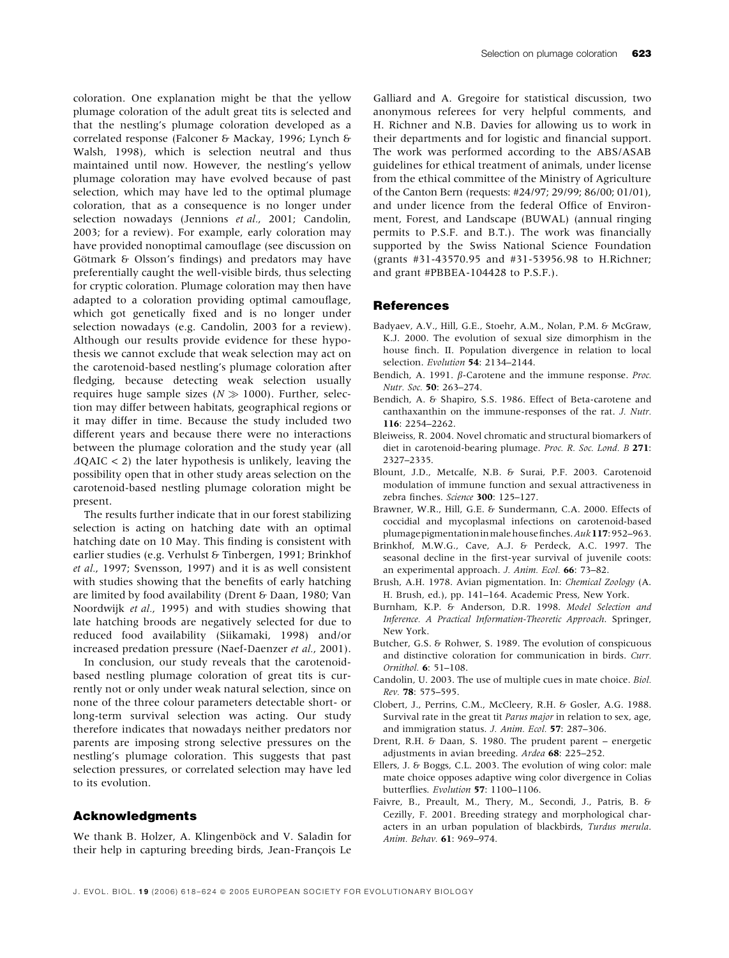coloration. One explanation might be that the yellow plumage coloration of the adult great tits is selected and that the nestling's plumage coloration developed as a correlated response (Falconer & Mackay, 1996; Lynch & Walsh, 1998), which is selection neutral and thus maintained until now. However, the nestling's yellow plumage coloration may have evolved because of past selection, which may have led to the optimal plumage coloration, that as a consequence is no longer under selection nowadays (Jennions et al., 2001; Candolin, 2003; for a review). For example, early coloration may have provided nonoptimal camouflage (see discussion on Götmark  $\&$  Olsson's findings) and predators may have preferentially caught the well-visible birds, thus selecting for cryptic coloration. Plumage coloration may then have adapted to a coloration providing optimal camouflage, which got genetically fixed and is no longer under selection nowadays (e.g. Candolin, 2003 for a review). Although our results provide evidence for these hypothesis we cannot exclude that weak selection may act on the carotenoid-based nestling's plumage coloration after fledging, because detecting weak selection usually requires huge sample sizes ( $N \gg 1000$ ). Further, selection may differ between habitats, geographical regions or it may differ in time. Because the study included two different years and because there were no interactions between the plumage coloration and the study year (all  $\Delta Q AIC < 2$ ) the later hypothesis is unlikely, leaving the possibility open that in other study areas selection on the carotenoid-based nestling plumage coloration might be present.

The results further indicate that in our forest stabilizing selection is acting on hatching date with an optimal hatching date on 10 May. This finding is consistent with earlier studies (e.g. Verhulst & Tinbergen, 1991; Brinkhof et al., 1997; Svensson, 1997) and it is as well consistent with studies showing that the benefits of early hatching are limited by food availability (Drent & Daan, 1980; Van Noordwijk et al., 1995) and with studies showing that late hatching broods are negatively selected for due to reduced food availability (Siikamaki, 1998) and/or increased predation pressure (Naef-Daenzer et al., 2001).

In conclusion, our study reveals that the carotenoidbased nestling plumage coloration of great tits is currently not or only under weak natural selection, since on none of the three colour parameters detectable short- or long-term survival selection was acting. Our study therefore indicates that nowadays neither predators nor parents are imposing strong selective pressures on the nestling's plumage coloration. This suggests that past selection pressures, or correlated selection may have led to its evolution.

## Acknowledgments

We thank B. Holzer, A. Klingenböck and V. Saladin for their help in capturing breeding birds, Jean-François Le

Galliard and A. Gregoire for statistical discussion, two anonymous referees for very helpful comments, and H. Richner and N.B. Davies for allowing us to work in their departments and for logistic and financial support. The work was performed according to the ABS/ASAB guidelines for ethical treatment of animals, under license from the ethical committee of the Ministry of Agriculture of the Canton Bern (requests: #24/97; 29/99; 86/00; 01/01), and under licence from the federal Office of Environment, Forest, and Landscape (BUWAL) (annual ringing permits to P.S.F. and B.T.). The work was financially supported by the Swiss National Science Foundation (grants #31-43570.95 and #31-53956.98 to H.Richner; and grant #PBBEA-104428 to P.S.F.).

#### References

- Badyaev, A.V., Hill, G.E., Stoehr, A.M., Nolan, P.M. & McGraw, K.J. 2000. The evolution of sexual size dimorphism in the house finch. II. Population divergence in relation to local selection. Evolution 54: 2134–2144.
- Bendich, A. 1991.  $\beta$ -Carotene and the immune response. Proc. Nutr. Soc. 50: 263–274.
- Bendich, A. & Shapiro, S.S. 1986. Effect of Beta-carotene and canthaxanthin on the immune-responses of the rat. J. Nutr. 116: 2254–2262.
- Bleiweiss, R. 2004. Novel chromatic and structural biomarkers of diet in carotenoid-bearing plumage. Proc. R. Soc. Lond. B 271: 2327–2335.
- Blount, J.D., Metcalfe, N.B. & Surai, P.F. 2003. Carotenoid modulation of immune function and sexual attractiveness in zebra finches. Science 300: 125-127.
- Brawner, W.R., Hill, G.E. & Sundermann, C.A. 2000. Effects of coccidial and mycoplasmal infections on carotenoid-based plumagepigmentationinmalehousefinches.Auk117:952–963.
- Brinkhof, M.W.G., Cave, A.J. & Perdeck, A.C. 1997. The seasonal decline in the first-year survival of juvenile coots: an experimental approach. J. Anim. Ecol. 66: 73–82.
- Brush, A.H. 1978. Avian pigmentation. In: Chemical Zoology (A. H. Brush, ed.), pp. 141–164. Academic Press, New York.
- Burnham, K.P. & Anderson, D.R. 1998. Model Selection and Inference. A Practical Information-Theoretic Approach. Springer, New York.
- Butcher, G.S. & Rohwer, S. 1989. The evolution of conspicuous and distinctive coloration for communication in birds. Curr. Ornithol. 6: 51–108.
- Candolin, U. 2003. The use of multiple cues in mate choice. Biol. Rev. 78: 575–595.
- Clobert, J., Perrins, C.M., McCleery, R.H. & Gosler, A.G. 1988. Survival rate in the great tit Parus major in relation to sex, age, and immigration status. J. Anim. Ecol. 57: 287–306.
- Drent, R.H. & Daan, S. 1980. The prudent parent energetic adjustments in avian breeding. Ardea 68: 225–252.
- Ellers, J. & Boggs, C.L. 2003. The evolution of wing color: male mate choice opposes adaptive wing color divergence in Colias butterflies. Evolution 57: 1100–1106.
- Faivre, B., Preault, M., Thery, M., Secondi, J., Patris, B. & Cezilly, F. 2001. Breeding strategy and morphological characters in an urban population of blackbirds, Turdus merula. Anim. Behav. 61: 969–974.